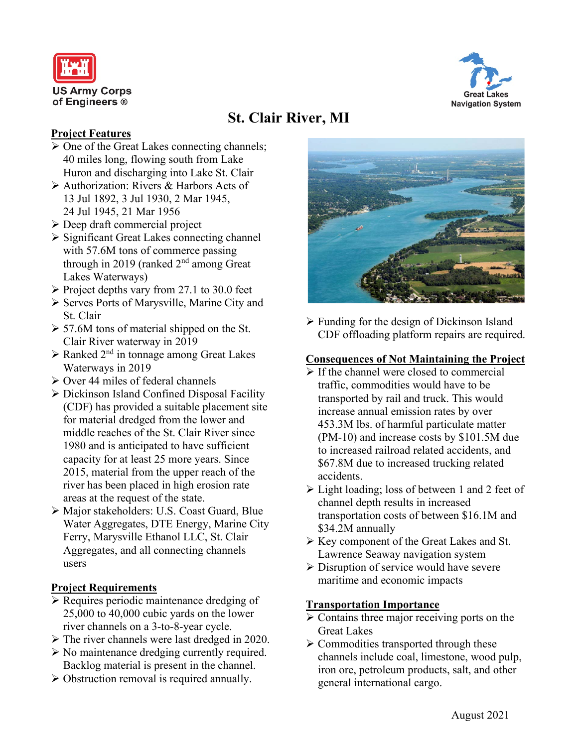



# **St. Clair River, MI**

### **Project Features**

- $\triangleright$  One of the Great Lakes connecting channels; 40 miles long, flowing south from Lake Huron and discharging into Lake St. Clair
- Authorization: Rivers & Harbors Acts of 13 Jul 1892, 3 Jul 1930, 2 Mar 1945, 24 Jul 1945, 21 Mar 1956
- $\triangleright$  Deep draft commercial project
- $\triangleright$  Significant Great Lakes connecting channel with 57.6M tons of commerce passing through in 2019 (ranked 2<sup>nd</sup> among Great Lakes Waterways)
- $\triangleright$  Project depths vary from 27.1 to 30.0 feet
- $\triangleright$  Serves Ports of Marysville, Marine City and St. Clair
- $> 57.6M$  tons of material shipped on the St. Clair River waterway in 2019
- $\triangleright$  Ranked 2<sup>nd</sup> in tonnage among Great Lakes Waterways in 2019
- $\triangleright$  Over 44 miles of federal channels
- Dickinson Island Confined Disposal Facility (CDF) has provided a suitable placement site for material dredged from the lower and middle reaches of the St. Clair River since 1980 and is anticipated to have sufficient capacity for at least 25 more years. Since 2015, material from the upper reach of the river has been placed in high erosion rate areas at the request of the state.
- Major stakeholders: U.S. Coast Guard, Blue Water Aggregates, DTE Energy, Marine City Ferry, Marysville Ethanol LLC, St. Clair Aggregates, and all connecting channels users

# **Project Requirements**

- $\triangleright$  Requires periodic maintenance dredging of 25,000 to 40,000 cubic yards on the lower river channels on a 3-to-8-year cycle.
- The river channels were last dredged in 2020.
- $\triangleright$  No maintenance dredging currently required. Backlog material is present in the channel.
- Obstruction removal is required annually.



 $\triangleright$  Funding for the design of Dickinson Island CDF offloading platform repairs are required.

#### **Consequences of Not Maintaining the Project**

- $\triangleright$  If the channel were closed to commercial traffic, commodities would have to be transported by rail and truck. This would increase annual emission rates by over 453.3M lbs. of harmful particulate matter (PM-10) and increase costs by \$101.5M due to increased railroad related accidents, and \$67.8M due to increased trucking related accidents.
- $\triangleright$  Light loading; loss of between 1 and 2 feet of channel depth results in increased transportation costs of between \$16.1M and \$34.2M annually
- $\triangleright$  Key component of the Great Lakes and St. Lawrence Seaway navigation system
- $\triangleright$  Disruption of service would have severe maritime and economic impacts

# **Transportation Importance**

- $\triangleright$  Contains three major receiving ports on the Great Lakes
- $\triangleright$  Commodities transported through these channels include coal, limestone, wood pulp, iron ore, petroleum products, salt, and other general international cargo.